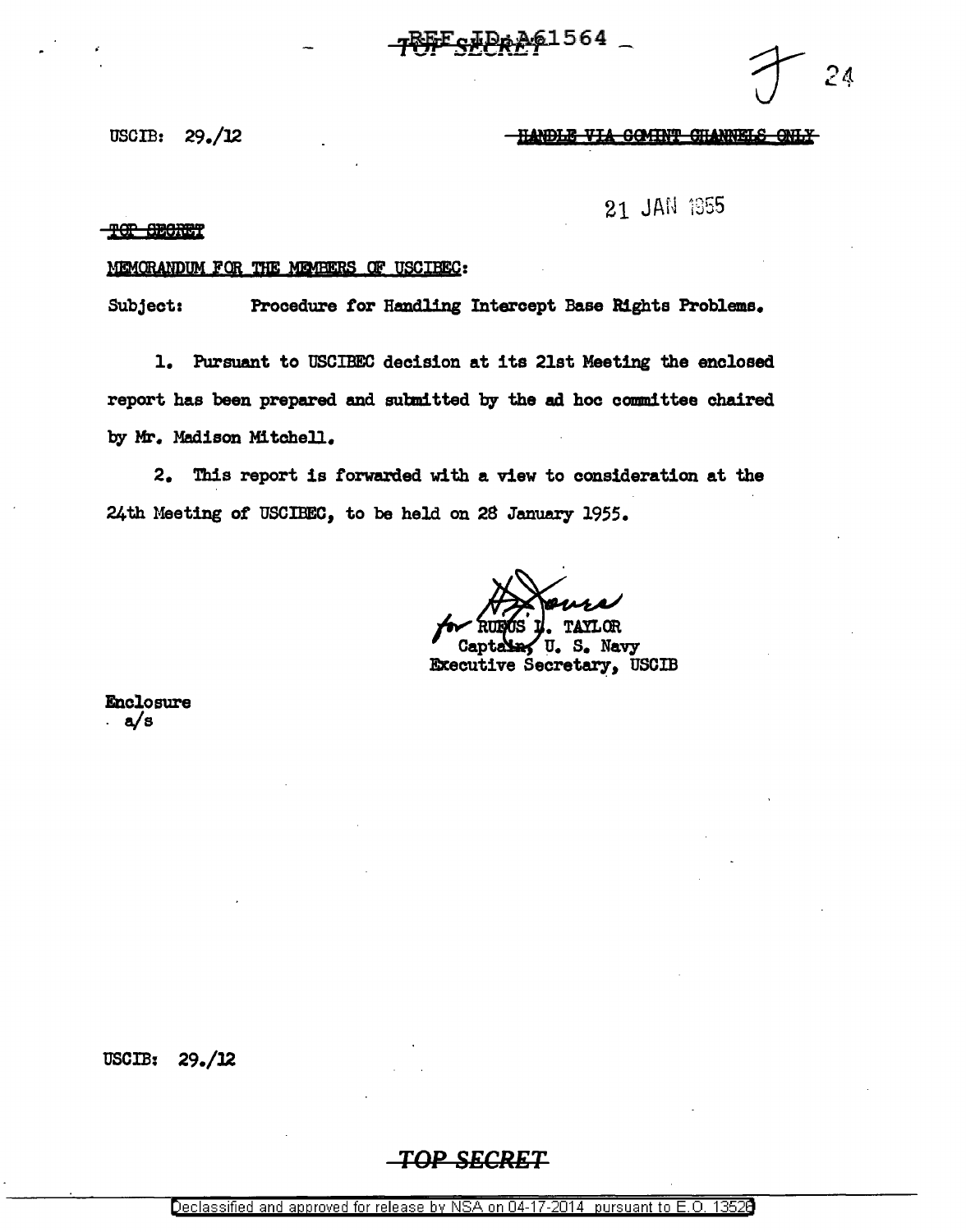с#Ре<u>дб</u>1564

24

# USCIB:  $29.12$  two  $\frac{114001E}{114001E}$  via  $\frac{114001E}{114001E}$   $\frac{114001E}{114001E}$

21 JAN 1955

## TOP GEORET

# MEMORANDUM FOR THE MEMBERS OF USCIBEC:

Subject: Procedure *tor* Handling Intercept Base Rights Problems.

1. Pursuant to USCIBEC decision at its 21st Meeting the enclosed report has been prepared and subnitted by the ad hoc committee chaired by Mr. Madison Mitchell.

2. This report is forwarded with a view to consideration at the 24th Meeting *ot* USCIBEC, to be held on 28 January 1955.

Navy S. U. Executive Secretary, USCIB

Enclosure . a/s

USCIB: 29./l2

# *TOP SECRET*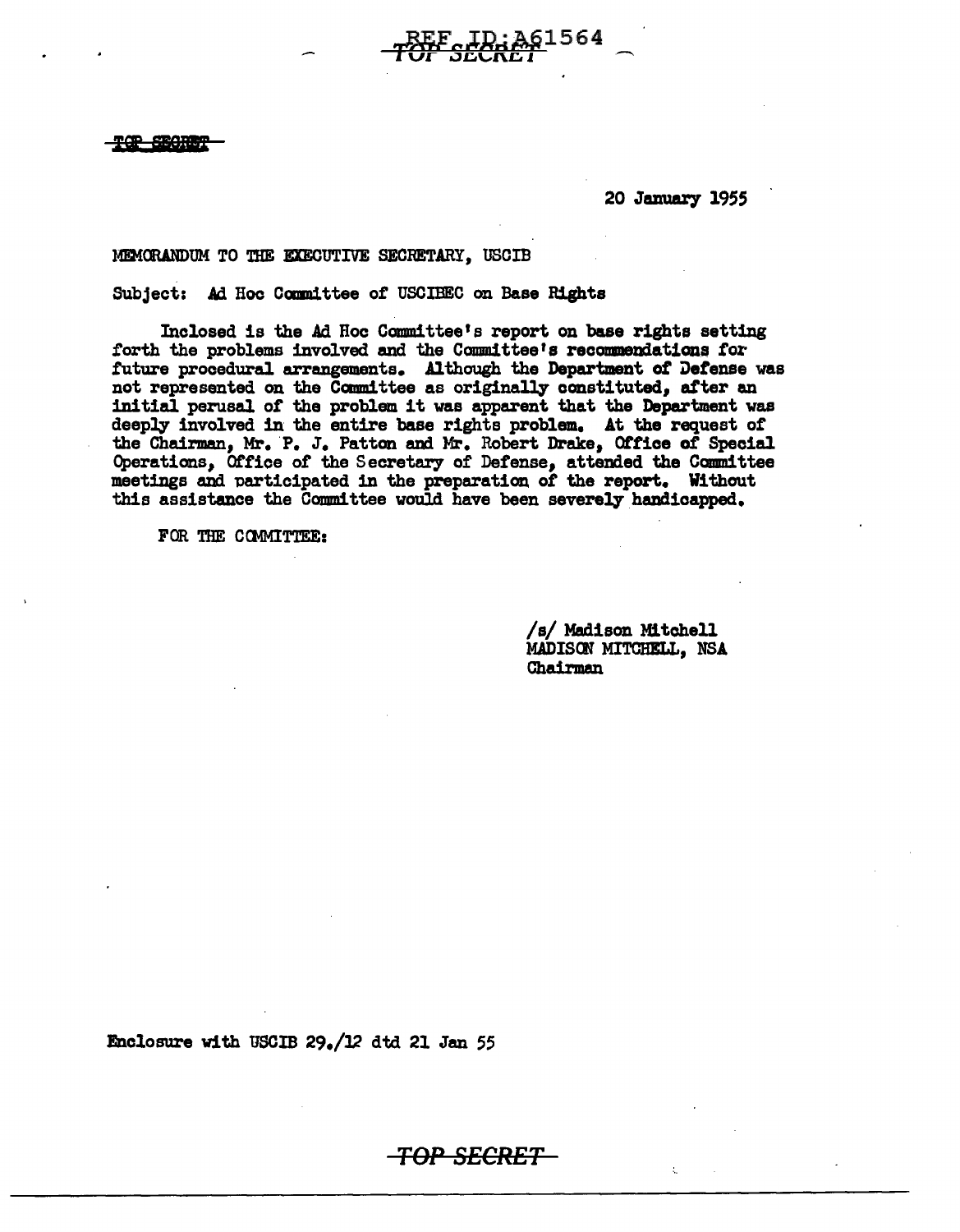**R-SECRET** 

20 January 1955

961564

# MEMORANDUM TO THE EXECUTIVE SECRETARY, USCIB

Subject: Ad Hoc Committee of USCIBEC on Base Rights

Inclosed is the Ad Hoc Committee's report on base rights setting forth the problems involved and the Committee's recommendations for future procedural arrangements. Although the Department of Defense was not represented on the Committee as originally constituted, after an initial perusal of the problem it was apparent that the Department was deeply involved in the entire base rights problem. At the request of the Chairman, Mr. P. J. Patton and Mr. Robert Drake, Office of Special Operations, Office of the Secretary of Defense, attended the Committee meetings and participated in the preparation of the report. Without this assistance the Committee would have been severely handicapped.

<del>-TOP SECRET</del>

FOR THE COMMITTEE:

/s/ Madison Mitchell MADISON MITCHELL. NSA Chairman

Enclosure with USCIB 29./12 dtd 21 Jan 55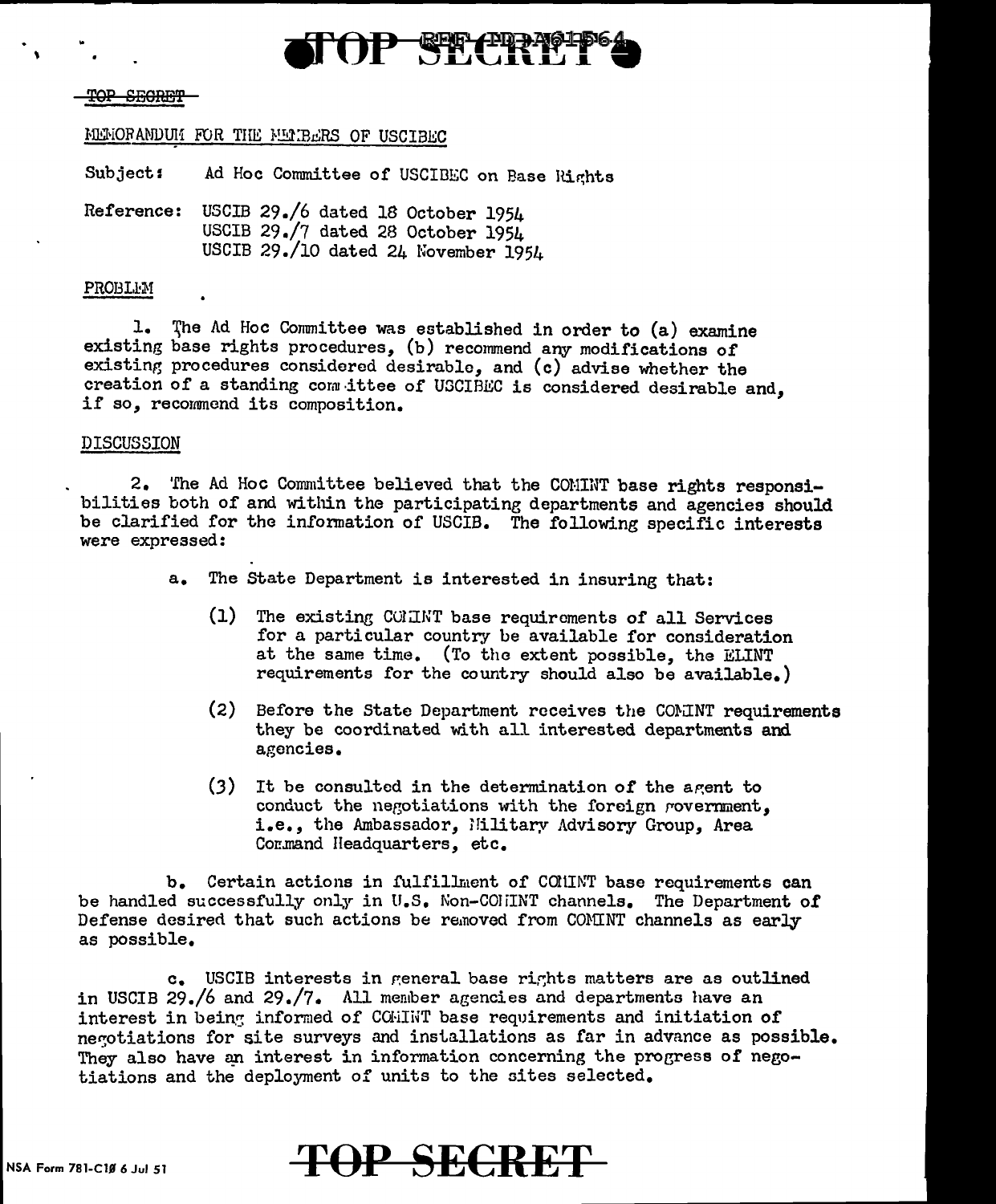

### **SECRET**

# MEMORANDUM FOR THE MEMBERS OF USCIBEC

Subject: Ad Hoc Committee of USCIBEC on Base Rights

Reference: USCIB 29./6 dated 18 October 1954 USCIB 29./7 dated 28 October 1954 USCIB 29./10 dated 24 November 1954

### PROBLEM

1. The Ad Hoc Committee was established in order to (a) examine existing base rights procedures, (b) recommend any modifications of existing procedures considered desirable, and (c) advise whether the creation of a standing committee of USCIBEC is considered desirable and, if so, recommend its composition.

### DISCUSSION

2. 'fhe Ad Hoc Committee believed that the CONINT base rights responsibilities both of and within the participating departments and agencies should be clarified for the infonnation of USCIB. The following specific interests were expressed:

- a. The State Department is interested in insuring that:
	- (1) The existing COMINT base requirements of all Services for a particular country be available for consideration at the same time. (To the extent possible, the ELINT requirements for the country should also be available.)
	- $(2)$  Before the State Department receives the COMINT requirements they be coordinated with all interested departments and agencies.
	- $(3)$  It be consulted in the determination of the agent to conduct the negotiations with the foreign rovernment, i.e., the Ambassador, Hilitary Advisory Group, Area Command Headquarters, etc.

b. Certain actions in fulfillment of CONINT base requirements can be handled successfully only in U.S. Non-CODIINT channels. The Department of Defense desired that such actions be removed from COMINT channels as early as possible.

c. USCIB interests in general base rights matters are as outlined in USCIB 29./6 and 29./7. All member agencies and departments have an interest in being informed of COHINT base requirements and initiation of negotiations for site surveys and installations as far in advance as possible. They also have an interest in information concerning the progress of negotiations and the deployment of units to the sites selected.

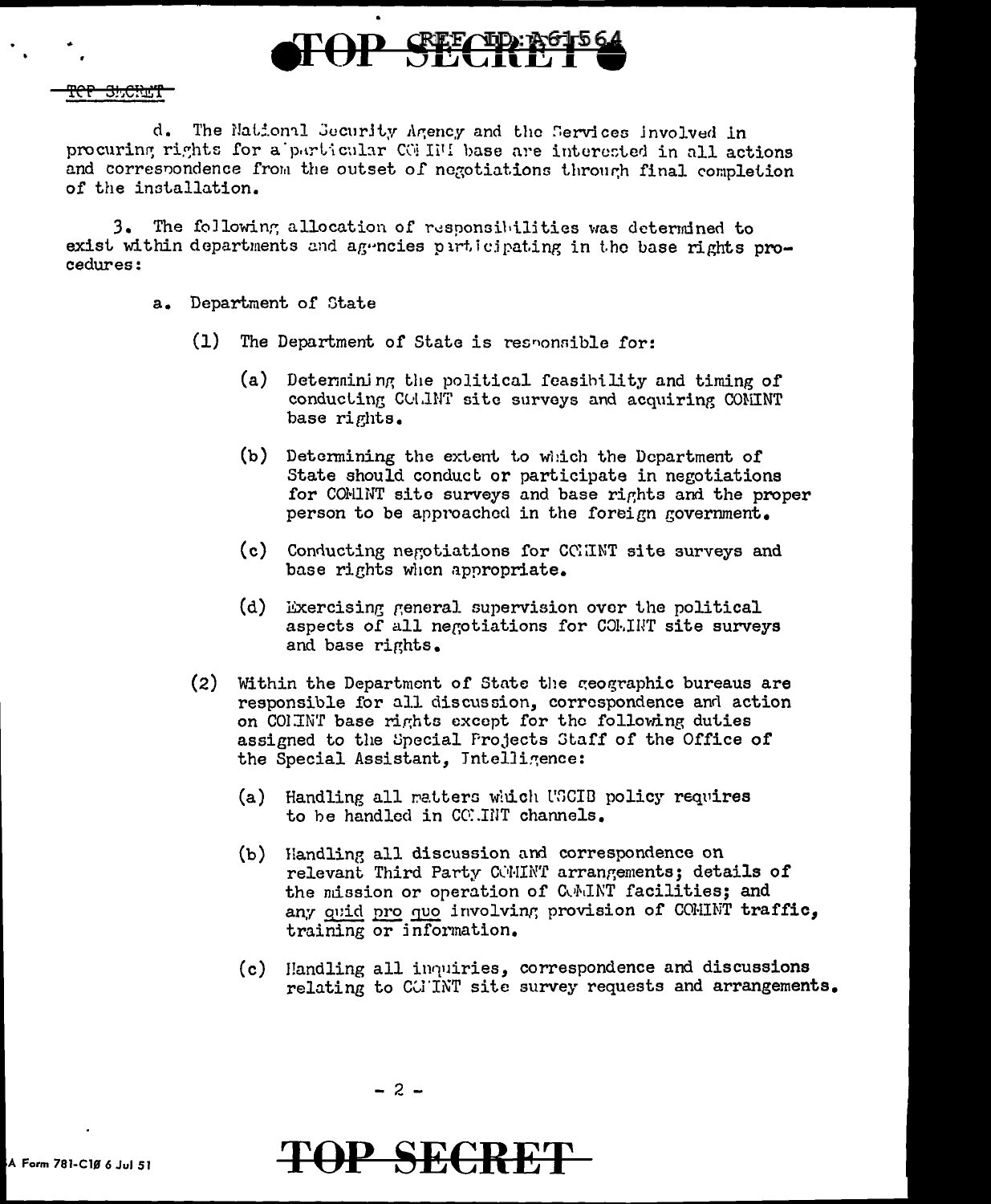

# <del>ref shcha't</del>

d. The National Security Agency and the Services involved in procuring rights for a particular COHIMI base are interested in all actions and correspondence from the outset of negotiations through final completion of the installation.

3. The following allocation of responsibilities was determined to exist within departments and agencies participating in the base rights procedures:

- a. Department of State
	- $(1)$ The Department of State is responsible for:
		- (a) Determining the political feasibility and timing of conducting COLINT site surveys and acquiring CONINT base rights.
		- (b) Determining the extent to which the Department of State should conduct or participate in negotiations for COMINT site surveys and base rights and the proper person to be approached in the foreign government.
		- (c) Conducting negotiations for CCHNT site surveys and base rights when appropriate.
		- $(d)$ Exercising general supervision over the political aspects of all negotiations for COLINT site surveys and base rights.
	- (2) Within the Department of State the geographic bureaus are responsible for all discussion, correspondence and action on COLINT base rights except for the following duties assigned to the Special Projects Staff of the Office of the Special Assistant, Intelligence:
		- (a) Handling all matters which USCIB policy requires to be handled in COMMINT channels.
		- (b) Handling all discussion and correspondence on relevant Third Party COMINT arrangements; details of the mission or operation of CAMINT facilities; and any quid pro quo involving provision of COMINT traffic, training or information.
		- Handling all inquiries, correspondence and discussions  $(c)$ relating to CGINT site survey requests and arrangements.



# **P SECRET**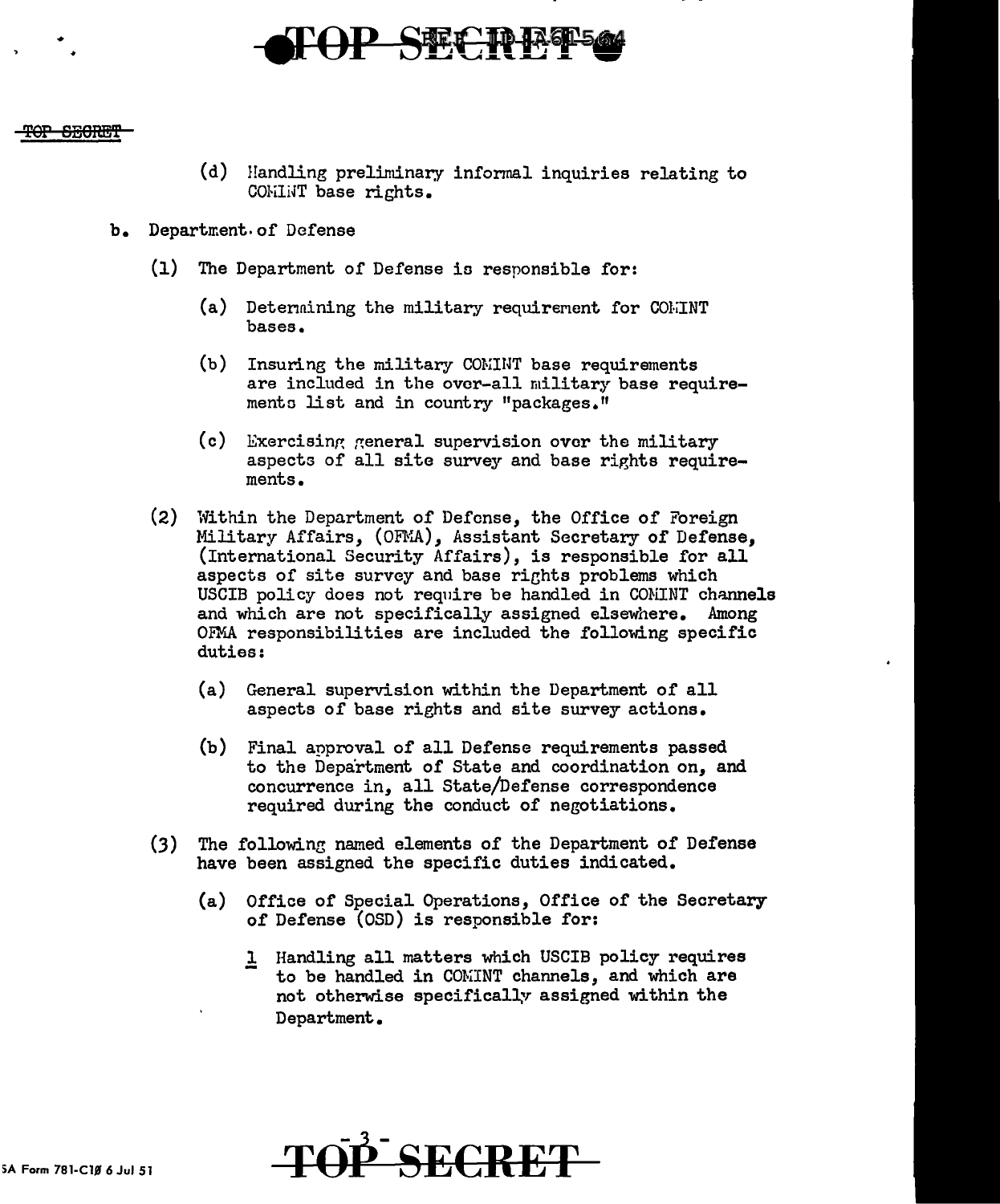

# <del>SECRET</del>

•

- (d) Handling preliminary informal inquiries relating to COMINT base rights.
- b. Department. of Defense
	- (1) The Department of Defense ia responsible for:
		- (a) Determining the military requirement for  $COLINT$ bases.
		- (b) Insuring the military COMINT base requirements are included in the over-all military base requiremento list and in country "packages."
		- $(c)$  Exercising general supervision over the military aspects of all site survey and base rights requirements.
	- (2) Within the Department of Defense, the Office of Foreign Military Affairs, (OFMA), Assistant Secretary of Defense, (International Security Affairs), is responsible for all aspects of site survey and base rights problems which USCIB policy does not require be handled in CONINT channels and which are not specifically assigned elsewhere. Among OFMA responsibilities are included the following specific duties:
		- (a) General supervision within the Department of all aspects of base rights and site survey actions.
		- (b) Final approval of all Defense requirements passed to the Department of State and coordination on, and concurrence in, all State/Defense correspondence required during the conduct of negotiations.
	- (3) The following named elements of the Department of Defense have been assigned the specific duties indicated.
		- (a) Office of Special Operations, Office of the Secretary of Defense (OSD) is responsible for:
			- 1 Handling all matters which USCIB policy requires to be handled in COMINT channels, and which are not otherwise specifically assigned within the Department.

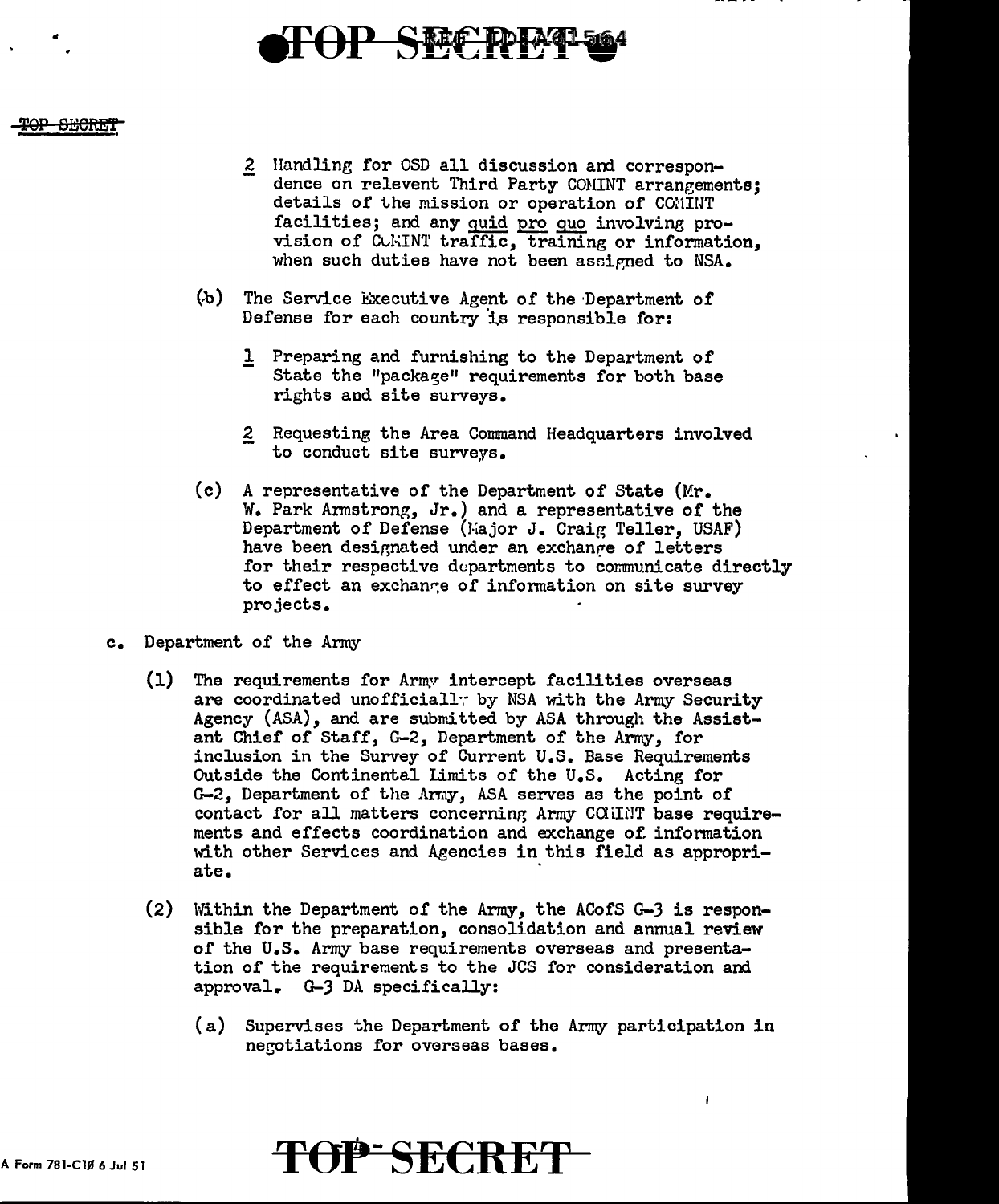

### <del>-SECRET</del>

- 2 Handling for OSD all discussion and correspondence on relevent Third Party COMINT arrangements; details of the mission or operation of COMINT facilities; and any quid pro quo involving provision of CUMINT traffic, training or information, when such duties have not been assigned to NSA.
- ~b) The Service l!:xecutive Agent of the ·Department of Defense for each country is responsible for:
	- l Preparing and furnishing to the Department of State the "package" requirements for both base rights and site surveys.
	- 2 Requesting the Area Command Headquarters involved to conduct site surveys.
- (c) A representative of the Department of State  $(Mr_{\bullet})$ W. Park Armstrong, Jr.) and a representative of the Department of Defense (Major J. Craig Teller, USAF) have been designated under an exchange of letters for their respective departments to communicate directly to effect an exchange of information on site survey projects.
- c. Department of the Army
	- (1) The requirements for Army intercept facilities overseas are coordinated unofficiall: by NSA with the Army Security Agency (ASA), and are submitted by ASA through the Assistant Chief of Staff, G-2, Department of the Army, for inclusion in the Survey of Current U.S. Base Requirements Outside the Continental limits of the U.S. Acting for G-2, Department of the Army, ASA serves as the point of contact for all matters concerning Army COHINT base requirements and effects coordination and exchange of. information with other Services and Agencies in this field as appropriate.
	- (2) Within the Department of the Army, the ACofS G-J is responsible for the preparation, consolidation and annual review of the U.S. Army base requirements overseas and presentation of the requirements to the JCS for consideration and approval. G-J DA specifically:
		- (a) Supervises the Department of the Army participation in negotiations for overseas bases.

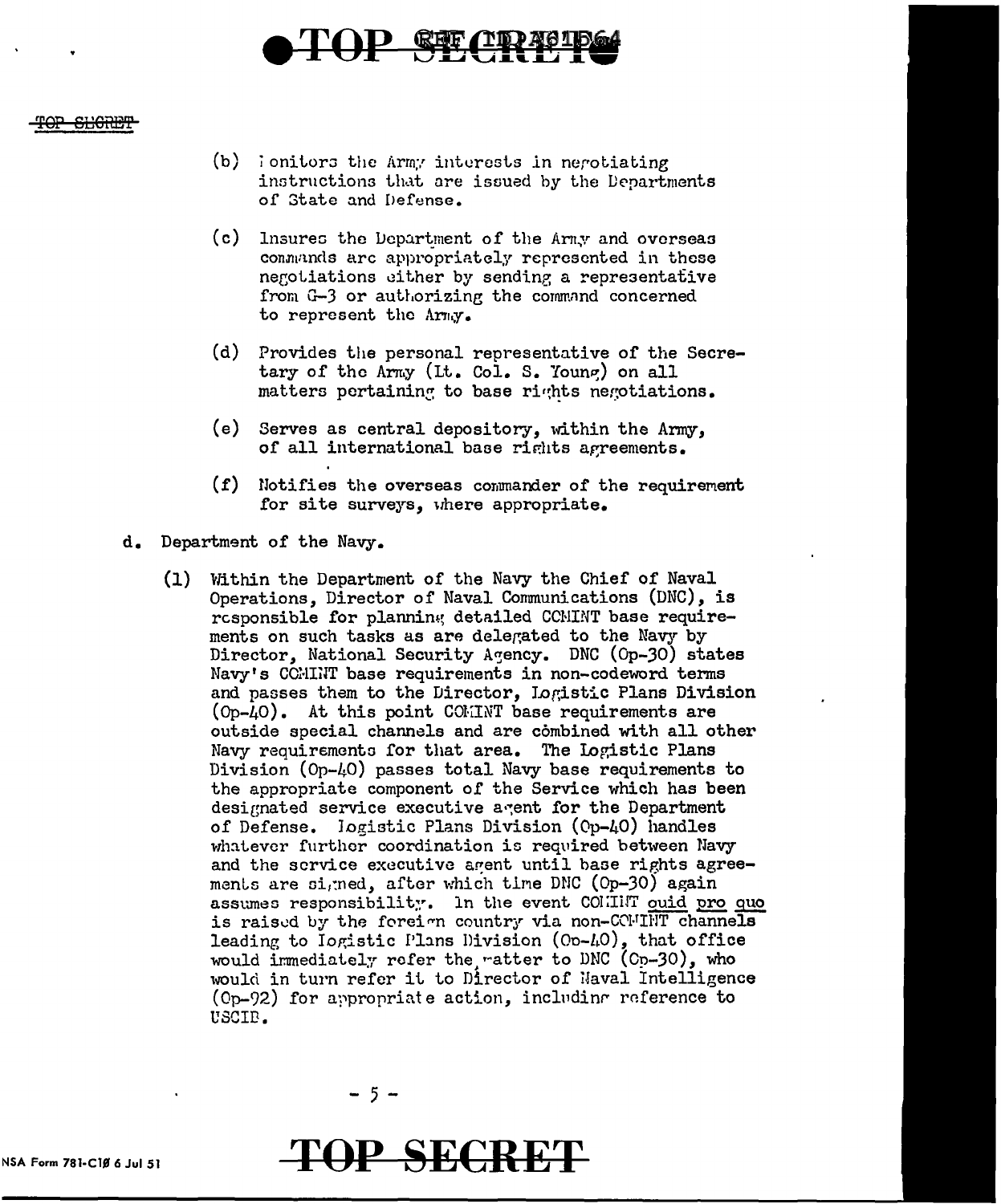

#### <del>SLIGRET</del>

- (b) lonitors the Army interests in nerotiating instructions that are issued by the Departments of State and Defense.
- (c) Insures the Department of the Army and overseas commands are appropriately represented in these negotiations either by sending a representative from G-3 or authorizing the command concerned to represent the Army.
- (d) Provides the personal representative of the Secretary of the Army (It. Col. S. Young) on all matters pertaining to base rights negotiations.
- (e) Serves as central depository, within the Army, of all international base rights agreements.
- (f) Notifies the overseas commander of the requirement for site surveys, where appropriate.
- d. Department of the Navy.
	- (1) Within the Department of the Navy the Chief of Naval Operations, Director of Naval Communications (DNC), is responsible for planning detailed CCMINT base requirements on such tasks as are delegated to the Navy by Director, National Security Agency. DNC (Op-30) states Navy's CCMINT base requirements in non-codeword terms and passes them to the Director, Logistic Plans Division (Op-40). At this point COMINT base requirements are outside special channels and are combined with all other Navy requirements for that area. The Logistic Plans Division (Op-40) passes total Navy base requirements to the appropriate component of the Service which has been designated service executive agent for the Department of Defense. logistic Plans Division (Op-40) handles whatever further coordination is required between Navy and the scrvice executive agent until base rights agreements are signed, after which time DNC (Op-30) again assumes responsibility. In the event COMMINT ouid pro quo is raised by the foreign country via non-CCMTHT channels leading to Iogistic Plans Division (Op-40), that office would immediately refer the ratter to DNC (Cp-30), who would in turn refer it to Director of Naval Intelligence  $(0p-92)$  for appropriate action, including reference to USCIB.

 $-5-$ 

**TOP SECRET**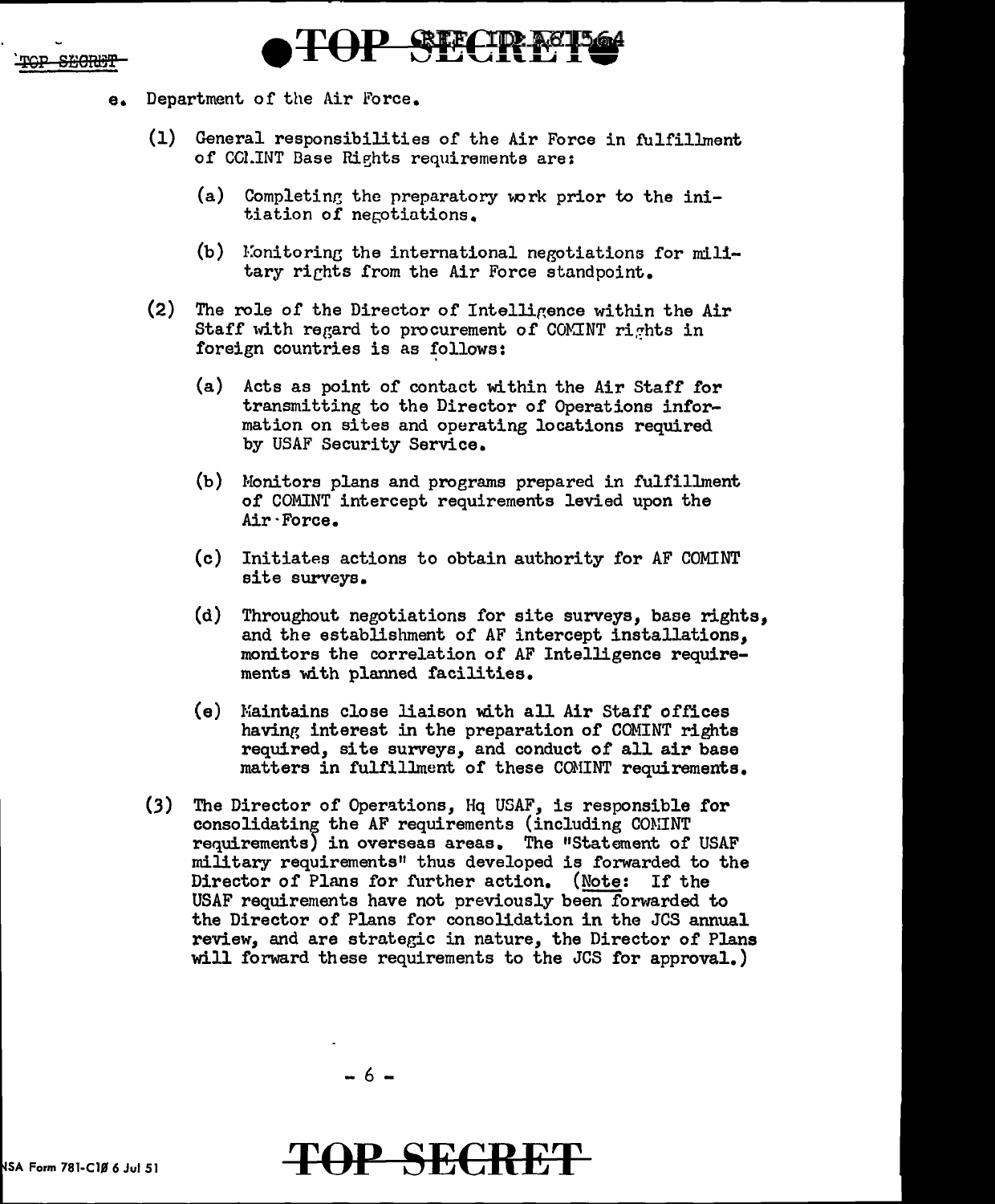



- e. Department of the Air Force.
	- (1) General responsibilities of the Air Force in fulfillment of CCI.INT Base Rights requirements are:
		- (a) Completing the preparatory work prior to the initiation of negotiations.
		- $(b)$  Mionitoring the international negotiations for military rights from the Air Force standpoint.
	- (2) The role of the Director of Intellir,ence within the Air Staff with regard to procurement of COMINT rights in foreign countries is as follows:
		- (a) Acts as point of contact within the Air Staff for transmitting to the Director of Operations information on sites and operating locations required by USAF Security Service.
		- (b) Monitors plans and programs prepared in fulfillment of COMINT intercept requirements levied upon the Air·Force.
		- (c) Initiates actions to obtain authority for AF COMINT site surveys.
		- (d) Throughout negotiations for site surveys, base rights, and the establishment of AF intercept installations, monitors the correlation of AF Intelligence requirements with planned facilities.
		- (e) Maintains close liaison with all Air Staff offices having interest in the preparation of COMINT rights required, site surveys, and conduct *of* all air base matters in fulfillment of these CONINT requirements.
	- (3) The Director of Operations, Hq USAF, is responsible for consolidatine; the AF requirements (including CONINT requirements) in overseas areas. The "Statement of USAF military requirements" thus developed is forwarded to the Director of Plans for further action. (Note: If the USAF requirements have not previously been forwarded to the Director of Plans for consolidation in the JCS annual review, and are strategic in nature, the Director of Plans will forward these requirements to the JCS for approval.)

# SA Form 781-ClB *6* Jul 51 **T()P SECRE'F**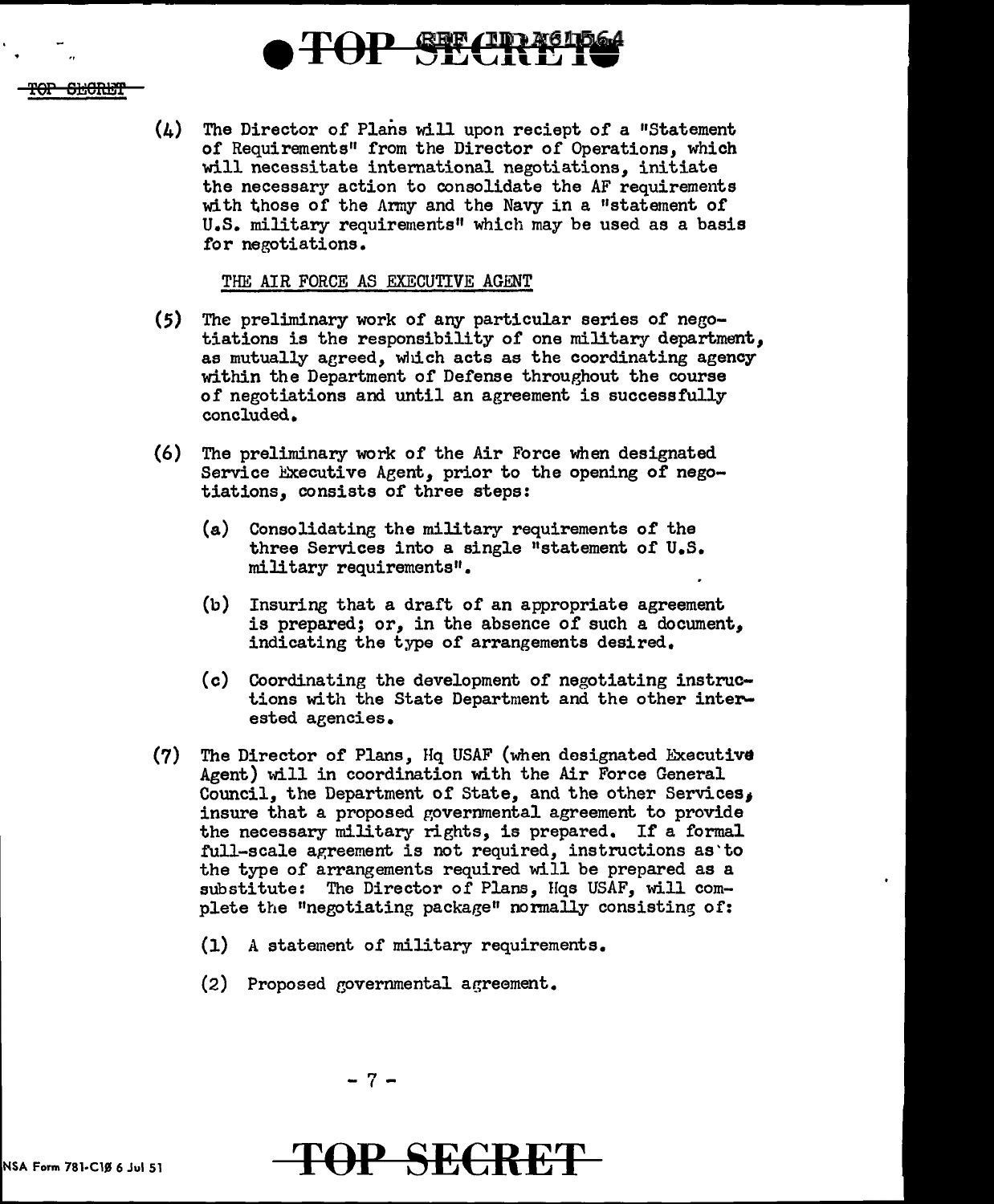

(4) The Director of Plans will upon reciept of a "Statement of Requirements" from the Director of Operations, which will necessitate international negotiations, initiate the necessary action to consolidate the AF requirements with those of the Anny and the Navy in a "statement of U.S. military requirements" which may be used as a basis for negotiations.

# THE AIR FORCE AS EXECUTIVE AGENT

- (5) The preliminary work of any particular series of negotiations is the responsibility of one military department, as mutually agreed, which acts as the coordinating agency within the Department of Defense throughout the course of negotiations and until an agreement is successfully concluded.
- (6) The preliminary work of the Air Force when designated Service Executive Agent, prior to the opening of negotiations, consists of three steps:
	- {a) Consolidating the military requirements of the three Services into a single "statement of U.S. military requirements".
	- (b) Insuring that a draft of an appropriate agreement is prepared; or, in the absence of such a document, indicating the type of arrangements desired.
	- (c) Coordinating the development of negotiating instructions with the State Department and the other interested agencies.
- $(7)$  The Director of Plans, Hq USAF (when designated Executive Agent) will in coordination with the Air Force General Council, the Department of State, and the other Services, insure that a proposed governmental agreement to provide the necessary military rights, is prepared. If a formal full-scale agreement is not required, instructions as'to the type of arrangements required will be prepared as a substitute: The Director of Plans, Hqs USAF, will complete the "negotiating package" normally consisting of:
	- $(1)$  A statement of military requirements.
	- (2) Proposed governmental agreement.



OP SECRET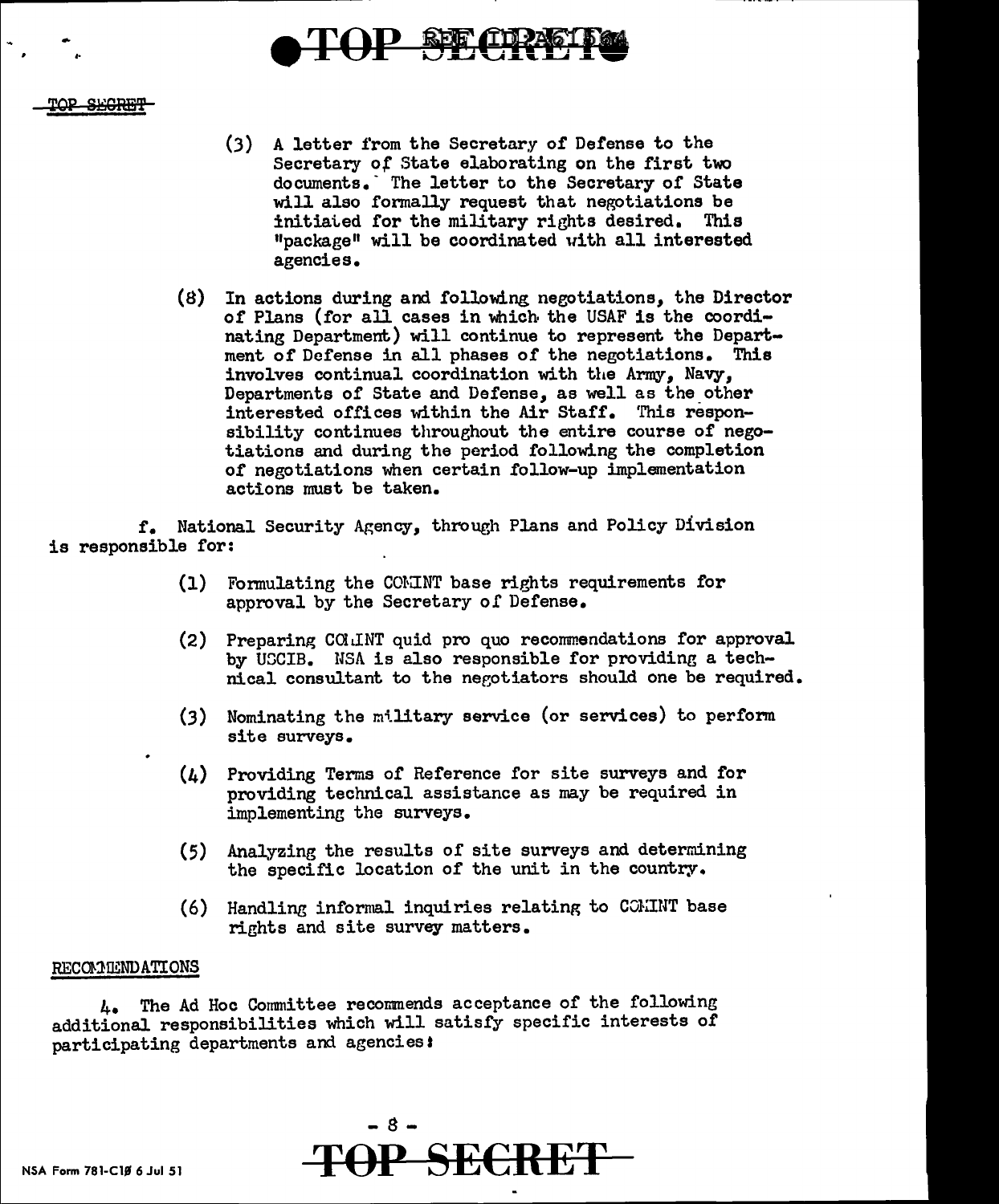

# -SEGRET

- (3) A letter from the Secretary of Defense to the Secretary of State elaborating on the first two documents. The letter to the Secretary of State will also formally request that negotiations be initiated for the military rights desired. This "package" will be coordinated uith all interested agencies.
- (8) In actions during and following neeotiations, the Director or Plans (for all cases in which the USAF is the coordinating Department) will continue to represent the Department of Defense in all phases of the negotiations. This involves continual coordination with the Army, Navy, Departments of State and Defense, as well as the other interested offices within the Air Staff. This responsibility continues throughout the entire course of negotiations and during the period following the completion of negotiations when certain follow-up implementation actions nmst be taken.

f. National Security Agency, through Plans and Policy Division is responsible for:

- (1) Formulating the COMINT base rights requirements for approval by the Secretary of Defense.
- (2) Preparing COlL!NT quid pro quo recommendations for approval by UGCIB. USA is also responsible for providing a technical consultant to the negotiators should one be required.
- (3) Nominating the military service (or services) to perform site surveys.
- (4) Providing Terms of Reference for site surveys and for providing technical assistance as may be required in implementing the surveys.
- (5) Analyzing the results of site surveys and determining the specific location of the unit in the country.
- (6) Handling informal inquiries relating to COMINT base rights and site survey matters.

## RECOMMENDATIONS

4. The Ad Hoc Committee recommends acceptance of the following additional responsibilities which will satisfy specific interests of participating departments and agenciest